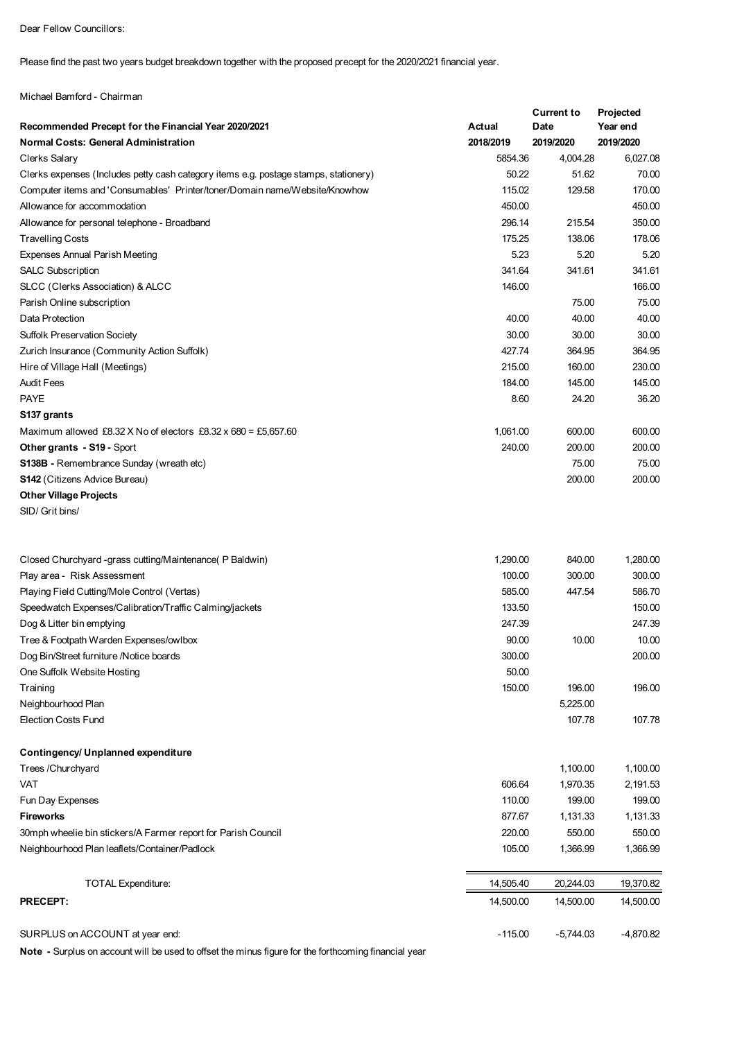Dear Fellow Councillors:

Please find the past two years budget breakdown together with the proposed precept for the 2020/2021 financial year.

Michael Bamford - Chairman

|                                                                                      |           | <b>Current to</b> | Projected   |
|--------------------------------------------------------------------------------------|-----------|-------------------|-------------|
| Recommended Precept for the Financial Year 2020/2021                                 | Actual    | Date              | Year end    |
| <b>Normal Costs: General Administration</b>                                          | 2018/2019 | 2019/2020         | 2019/2020   |
| <b>Clerks Salary</b>                                                                 | 5854.36   | 4,004.28          | 6,027.08    |
| Clerks expenses (Includes petty cash category items e.g. postage stamps, stationery) | 50.22     | 51.62             | 70.00       |
| Computer items and 'Consumables' Printer/toner/Domain name/Website/Knowhow           | 115.02    | 129.58            | 170.00      |
| Allowance for accommodation                                                          | 450.00    |                   | 450.00      |
| Allowance for personal telephone - Broadband                                         | 296.14    | 215.54            | 350.00      |
| <b>Travelling Costs</b>                                                              | 175.25    | 138.06            | 178.06      |
| <b>Expenses Annual Parish Meeting</b>                                                | 5.23      | 5.20              | 5.20        |
| <b>SALC Subscription</b>                                                             | 341.64    | 341.61            | 341.61      |
| SLCC (Clerks Association) & ALCC                                                     | 146.00    |                   | 166.00      |
| Parish Online subscription                                                           |           | 75.00             | 75.00       |
| Data Protection                                                                      | 40.00     | 40.00             | 40.00       |
| <b>Suffolk Preservation Society</b>                                                  | 30.00     | 30.00             | 30.00       |
| Zurich Insurance (Community Action Suffolk)                                          | 427.74    | 364.95            | 364.95      |
| Hire of Village Hall (Meetings)                                                      | 215.00    | 160.00            | 230.00      |
| <b>Audit Fees</b>                                                                    | 184.00    | 145.00            | 145.00      |
| <b>PAYE</b>                                                                          | 8.60      | 24.20             | 36.20       |
| S137 grants                                                                          |           |                   |             |
| Maximum allowed £8.32 X No of electors £8.32 x 680 = £5,657.60                       | 1.061.00  | 600.00            | 600.00      |
| Other grants - S19 - Sport                                                           | 240.00    | 200.00            | 200.00      |
| S138B - Remembrance Sunday (wreath etc)                                              |           | 75.00             | 75.00       |
| <b>S142</b> (Citizens Advice Bureau)                                                 |           | 200.00            | 200.00      |
| <b>Other Village Projects</b>                                                        |           |                   |             |
| SID/ Grit bins/                                                                      |           |                   |             |
|                                                                                      |           |                   |             |
| Closed Churchyard -grass cutting/Maintenance (P Baldwin)                             | 1,290.00  | 840.00            | 1,280.00    |
| Play area - Risk Assessment                                                          | 100.00    | 300.00            | 300.00      |
| Playing Field Cutting/Mole Control (Vertas)                                          | 585.00    | 447.54            | 586.70      |
| Speedwatch Expenses/Calibration/Traffic Calming/jackets                              | 133.50    |                   | 150.00      |
| Dog & Litter bin emptying                                                            | 247.39    |                   | 247.39      |
| Tree & Footpath Warden Expenses/owlbox                                               | 90.00     | 10.00             | 10.00       |
| Dog Bin/Street furniture /Notice boards                                              | 300.00    |                   | 200.00      |
| One Suffolk Website Hosting                                                          | 50.00     |                   |             |
| Training                                                                             | 150.00    | 196.00            | 196.00      |
| Neighbourhood Plan                                                                   |           | 5,225.00          |             |
| <b>Election Costs Fund</b>                                                           |           | 107.78            | 107.78      |
| Contingency/ Unplanned expenditure                                                   |           |                   |             |
| Trees / Churchyard                                                                   |           | 1,100.00          | 1,100.00    |
| VAT                                                                                  | 606.64    | 1,970.35          | 2,191.53    |
| Fun Day Expenses                                                                     | 110.00    | 199.00            | 199.00      |
| <b>Fireworks</b>                                                                     | 877.67    | 1,131.33          | 1,131.33    |
| 30mph wheelie bin stickers/A Farmer report for Parish Council                        | 220.00    | 550.00            | 550.00      |
| Neighbourhood Plan leaflets/Container/Padlock                                        | 105.00    | 1,366.99          | 1,366.99    |
|                                                                                      |           |                   |             |
| <b>TOTAL Expenditure:</b>                                                            | 14,505.40 | 20,244.03         | 19,370.82   |
| <b>PRECEPT:</b>                                                                      | 14,500.00 | 14,500.00         | 14,500.00   |
| SURPLUS on ACCOUNT at year end:                                                      | $-115.00$ | $-5,744.03$       | $-4,870.82$ |

**Note -** Surplus on account will be used to offset the minus figure for the forthcoming financial year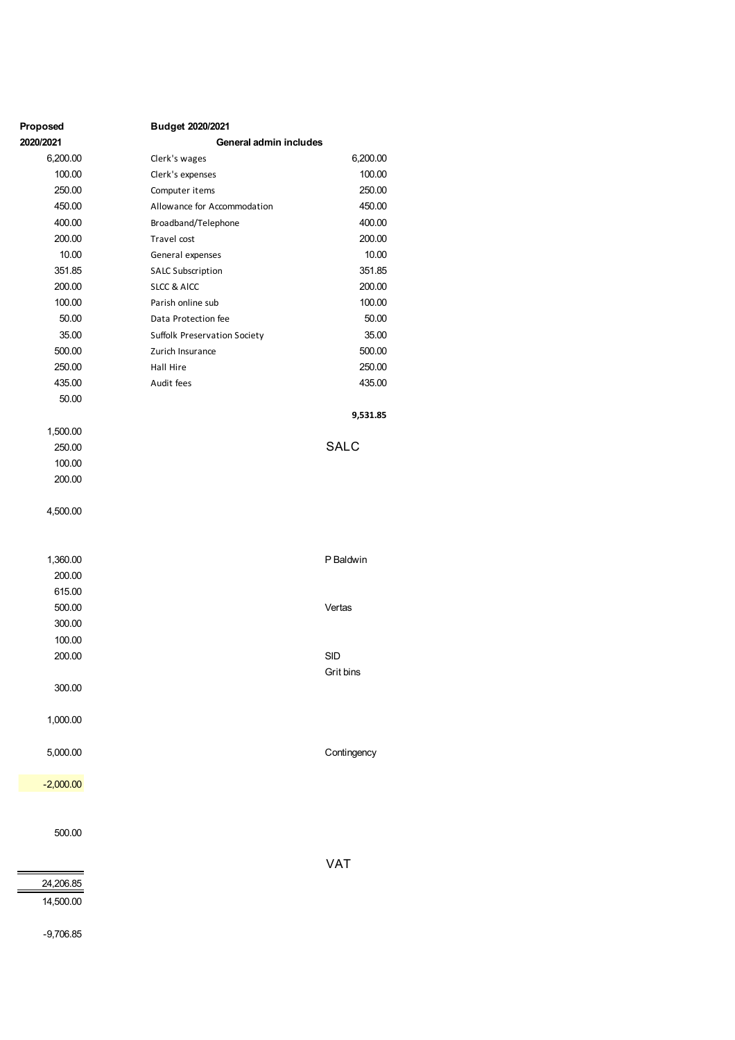| Proposed           | Budget 2020/2021             |             |
|--------------------|------------------------------|-------------|
| 2020/2021          | General admin includes       |             |
| 6,200.00           | Clerk's wages                | 6,200.00    |
| 100.00             | Clerk's expenses             | 100.00      |
| 250.00             | Computer items               | 250.00      |
| 450.00             | Allowance for Accommodation  | 450.00      |
| 400.00             | Broadband/Telephone          | 400.00      |
| 200.00             | Travel cost                  | 200.00      |
| 10.00              | General expenses             | 10.00       |
| 351.85             | <b>SALC Subscription</b>     | 351.85      |
| 200.00             | <b>SLCC &amp; AICC</b>       | 200.00      |
| 100.00             | Parish online sub            | 100.00      |
| 50.00              | Data Protection fee          | 50.00       |
| 35.00              | Suffolk Preservation Society | 35.00       |
| 500.00             | Zurich Insurance             | 500.00      |
| 250.00<br>435.00   | Hall Hire                    | 250.00      |
|                    | Audit fees                   | 435.00      |
| 50.00              |                              |             |
|                    |                              | 9,531.85    |
| 1,500.00<br>250.00 |                              | <b>SALC</b> |
| 100.00             |                              |             |
| 200.00             |                              |             |
|                    |                              |             |
| 4,500.00           |                              |             |
|                    |                              |             |
| 1,360.00           |                              | P Baldwin   |
| 200.00             |                              |             |
| 615.00             |                              |             |
| 500.00             |                              | Vertas      |
| 300.00             |                              |             |
| 100.00             |                              |             |
| 200.00             |                              | SID         |
|                    |                              | Grit bins   |
| 300.00             |                              |             |
| 1,000.00           |                              |             |
|                    |                              |             |
| 5,000.00           |                              | Contingency |
| $-2,000.00$        |                              |             |
|                    |                              |             |
|                    |                              |             |
| 500.00             |                              |             |
|                    |                              | <b>VAT</b>  |
| 24,206.85          |                              |             |
| 14,500.00          |                              |             |
| $-9,706.85$        |                              |             |
|                    |                              |             |